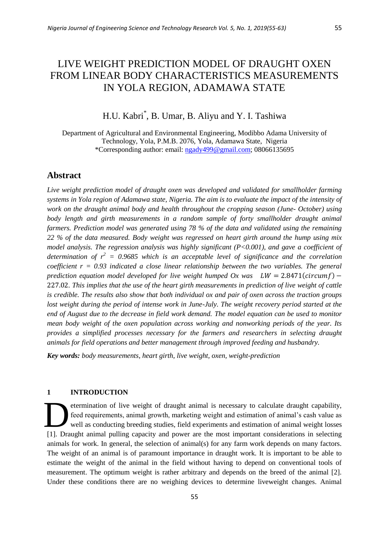# LIVE WEIGHT PREDICTION MODEL OF DRAUGHT OXEN FROM LINEAR BODY CHARACTERISTICS MEASUREMENTS IN YOLA REGION, ADAMAWA STATE

## H.U. Kabri\* , B. Umar, B. Aliyu and Y. I. Tashiwa

Department of Agricultural and Environmental Engineering, Modibbo Adama University of Technology, Yola, P.M.B. 2076, Yola, Adamawa State, Nigeria \*Corresponding author: email: [ngady499@gmail.com;](mailto:ngady499@gmail.com) 08066135695

## **Abstract**

*Live weight prediction model of draught oxen was developed and validated for smallholder farming systems in Yola region of Adamawa state, Nigeria. The aim is to evaluate the impact of the intensity of work on the draught animal body and health throughout the cropping season (June- October) using*  body length and girth measurements in a random sample of forty smallholder draught animal *farmers. Prediction model was generated using 78 % of the data and validated using the remaining 22 % of the data measured. Body weight was regressed on heart girth around the hump using mix model analysis. The regression analysis was highly significant (P<0.001), and gave a coefficient of determination of*  $r^2 = 0.9685$  which is an acceptable level of significance and the correlation *coefficient r = 0.93 indicated a close linear relationship between the two variables. The general prediction equation model developed for live weight humped Ox was*  $LW = 2.8471(circumf)$  *– . This implies that the use of the heart girth measurements in prediction of live weight of cattle is credible. The results also show that both individual ox and pair of oxen across the traction groups lost weight during the period of intense work in June-July. The weight recovery period started at the end of August due to the decrease in field work demand. The model equation can be used to monitor mean body weight of the oxen population across working and nonworking periods of the year. Its provides a simplified processes necessary for the farmers and researchers in selecting draught animals for field operations and better management through improved feeding and husbandry.*

*Key words: body measurements, heart girth, live weight, oxen, weight-prediction*

#### **1 INTRODUCTION**

etermination of live weight of draught animal is necessary to calculate draught capability, feed requirements, animal growth, marketing weight and estimation of animal's cash value as well as conducting breeding studies, field experiments and estimation of animal weight losses [1]. Draught animal pulling capacity and power are the most important considerations in selecting animals for work. In general, the selection of animal(s) for any farm work depends on many factors. The weight of an animal is of paramount importance in draught work. It is important to be able to estimate the weight of the animal in the field without having to depend on conventional tools of measurement. The optimum weight is rather arbitrary and depends on the breed of the animal [2]. Under these conditions there are no weighing devices to determine liveweight changes. Animal D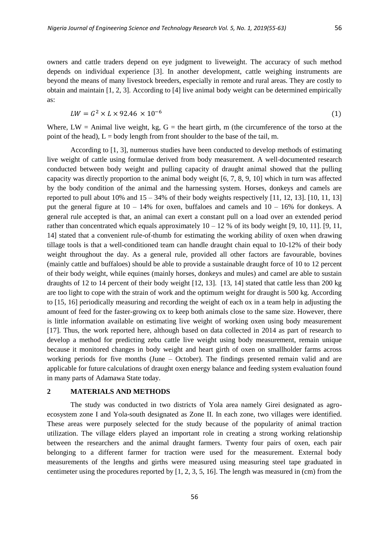owners and cattle traders depend on eye judgment to liveweight. The accuracy of such method depends on individual experience [3]. In another development, cattle weighing instruments are beyond the means of many livestock breeders, especially in remote and rural areas. They are costly to obtain and maintain [1, 2, 3]. According to [4] live animal body weight can be determined empirically as:

$$
LW = G^2 \times L \times 92.46 \times 10^{-6}
$$
 (1)

Where,  $LW =$  Animal live weight, kg,  $G =$  the heart girth, m (the circumference of the torso at the point of the head),  $L =$  body length from front shoulder to the base of the tail, m.

According to [1, 3], numerous studies have been conducted to develop methods of estimating live weight of cattle using formulae derived from body measurement. A well-documented research conducted between body weight and pulling capacity of draught animal showed that the pulling capacity was directly proportion to the animal body weight [6, 7, 8, 9, 10] which in turn was affected by the body condition of the animal and the harnessing system. Horses, donkeys and camels are reported to pull about  $10\%$  and  $15 - 34\%$  of their body weights respectively [11, 12, 13]. [10, 11, 13] put the general figure at  $10 - 14\%$  for oxen, buffaloes and camels and  $10 - 16\%$  for donkeys. A general rule accepted is that, an animal can exert a constant pull on a load over an extended period rather than concentrated which equals approximately  $10 - 12$  % of its body weight [9, 10, 11]. [9, 11, 14] stated that a convenient rule-of-thumb for estimating the working ability of oxen when drawing tillage tools is that a well-conditioned team can handle draught chain equal to 10-12% of their body weight throughout the day. As a general rule, provided all other factors are favourable, bovines (mainly cattle and buffaloes) should be able to provide a sustainable draught force of 10 to 12 percent of their body weight, while equines (mainly horses, donkeys and mules) and camel are able to sustain draughts of 12 to 14 percent of their body weight [12, 13]. [13, 14] stated that cattle less than 200 kg are too light to cope with the strain of work and the optimum weight for draught is 500 kg. According to [15, 16] periodically measuring and recording the weight of each ox in a team help in adjusting the amount of feed for the faster-growing ox to keep both animals close to the same size. However, there is little information available on estimating live weight of working oxen using body measurement [17]. Thus, the work reported here, although based on data collected in 2014 as part of research to develop a method for predicting zebu cattle live weight using body measurement, remain unique because it monitored changes in body weight and heart girth of oxen on smallholder farms across working periods for five months (June – October). The findings presented remain valid and are applicable for future calculations of draught oxen energy balance and feeding system evaluation found in many parts of Adamawa State today.

#### **2 MATERIALS AND METHODS**

The study was conducted in two districts of Yola area namely Girei designated as agroecosystem zone I and Yola-south designated as Zone II. In each zone, two villages were identified. These areas were purposely selected for the study because of the popularity of animal traction utilization. The village elders played an important role in creating a strong working relationship between the researchers and the animal draught farmers. Twenty four pairs of oxen, each pair belonging to a different farmer for traction were used for the measurement. External body measurements of the lengths and girths were measured using measuring steel tape graduated in centimeter using the procedures reported by [1, 2, 3, 5, 16]. The length was measured in (cm) from the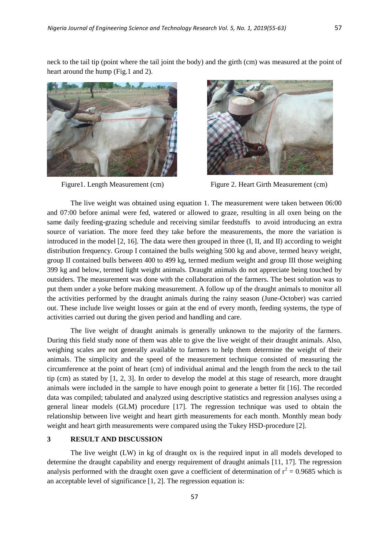neck to the tail tip (point where the tail joint the body) and the girth (cm) was measured at the point of heart around the hump (Fig.1 and 2).





Figure 1. Length Measurement (cm) Figure 2. Heart Girth Measurement (cm)

The live weight was obtained using equation 1. The measurement were taken between 06:00 and 07:00 before animal were fed, watered or allowed to graze, resulting in all oxen being on the same daily feeding-grazing schedule and receiving similar feedstuffs to avoid introducing an extra source of variation. The more feed they take before the measurements, the more the variation is introduced in the model [2, 16]. The data were then grouped in three (I, II, and II) according to weight distribution frequency. Group I contained the bulls weighing 500 kg and above, termed heavy weight, group II contained bulls between 400 to 499 kg, termed medium weight and group III those weighing 399 kg and below, termed light weight animals. Draught animals do not appreciate being touched by outsiders. The measurement was done with the collaboration of the farmers. The best solution was to put them under a yoke before making measurement. A follow up of the draught animals to monitor all the activities performed by the draught animals during the rainy season (June-October) was carried out. These include live weight losses or gain at the end of every month, feeding systems, the type of activities carried out during the given period and handling and care.

The live weight of draught animals is generally unknown to the majority of the farmers. During this field study none of them was able to give the live weight of their draught animals. Also, weighing scales are not generally available to farmers to help them determine the weight of their animals. The simplicity and the speed of the measurement technique consisted of measuring the circumference at the point of heart (cm) of individual animal and the length from the neck to the tail tip (cm) as stated by [1, 2, 3]. In order to develop the model at this stage of research, more draught animals were included in the sample to have enough point to generate a better fit [16]. The recorded data was compiled; tabulated and analyzed using descriptive statistics and regression analyses using a general linear models (GLM) procedure [17]. The regression technique was used to obtain the relationship between live weight and heart girth measurements for each month. Monthly mean body weight and heart girth measurements were compared using the Tukey HSD-procedure [2].

## **3 RESULT AND DISCUSSION**

The live weight (LW) in kg of draught ox is the required input in all models developed to determine the draught capability and energy requirement of draught animals [11, 17]. The regression analysis performed with the draught oxen gave a coefficient of determination of  $r^2 = 0.9685$  which is an acceptable level of significance [1, 2]. The regression equation is: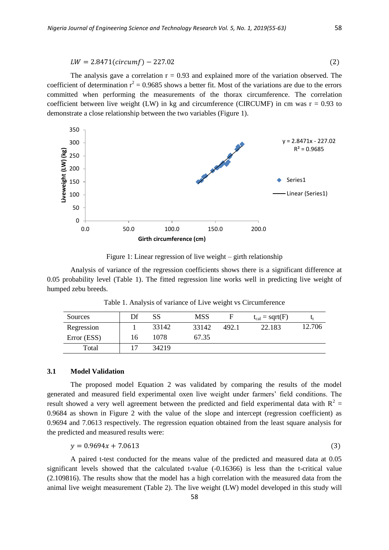$$
LW = 2.8471(circumf) - 227.02
$$
\n(2)

The analysis gave a correlation  $r = 0.93$  and explained more of the variation observed. The coefficient of determination  $r^2 = 0.9685$  shows a better fit. Most of the variations are due to the errors committed when performing the measurements of the thorax circumference. The correlation coefficient between live weight (LW) in kg and circumference (CIRCUMF) in cm was  $r = 0.93$  to demonstrate a close relationship between the two variables (Figure 1).



Figure 1: Linear regression of live weight – girth relationship

Analysis of variance of the regression coefficients shows there is a significant difference at 0.05 probability level (Table 1). The fitted regression line works well in predicting live weight of humped zebu breeds.

Table 1. Analysis of variance of Live weight vs Circumference

| Sources     | Df | SS    | <b>MSS</b> |       | $t_{cal}$ = sqrt(F) |        |
|-------------|----|-------|------------|-------|---------------------|--------|
| Regression  |    | 33142 | 33142      | 492.1 | 22.183              | 12.706 |
| Error (ESS) | 16 | 1078  | 67.35      |       |                     |        |
| Total       |    | 34219 |            |       |                     |        |

#### **3.1 Model Validation**

The proposed model Equation 2 was validated by comparing the results of the model generated and measured field experimental oxen live weight under farmers' field conditions. The result showed a very well agreement between the predicted and field experimental data with  $R^2 =$ 0.9684 as shown in Figure 2 with the value of the slope and intercept (regression coefficient) as 0.9694 and 7.0613 respectively. The regression equation obtained from the least square analysis for the predicted and measured results were:

$$
y = 0.9694x + 7.0613\tag{3}
$$

A paired t-test conducted for the means value of the predicted and measured data at 0.05 significant levels showed that the calculated t-value (-0.16366) is less than the t-critical value (2.109816). The results show that the model has a high correlation with the measured data from the animal live weight measurement (Table 2). The live weight (LW) model developed in this study will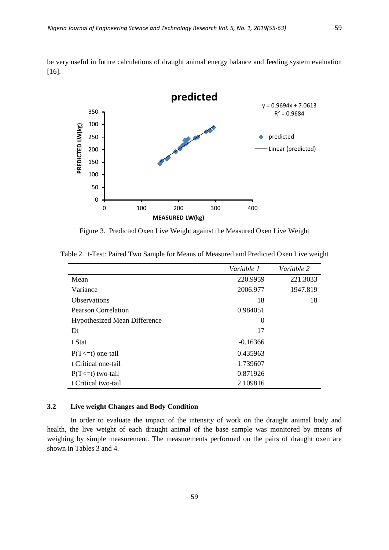be very useful in future calculations of draught animal energy balance and feeding system evaluation [16].



Figure 3. Predicted Oxen Live Weight against the Measured Oxen Live Weight

|                                     | Variable 1 | Variable 2 |
|-------------------------------------|------------|------------|
| Mean                                | 220.9959   | 221.3033   |
| Variance                            | 2006.977   | 1947.819   |
| <b>Observations</b>                 | 18         | 18         |
| <b>Pearson Correlation</b>          | 0.984051   |            |
| <b>Hypothesized Mean Difference</b> | 0          |            |
| Df                                  | 17         |            |
| t Stat                              | $-0.16366$ |            |
| $P(T \le t)$ one-tail               | 0.435963   |            |
| t Critical one-tail                 | 1.739607   |            |
| $P(T \le t)$ two-tail               | 0.871926   |            |
| t Critical two-tail                 | 2.109816   |            |

Table 2. t-Test: Paired Two Sample for Means of Measured and Predicted Oxen Live weight

#### **3.2 Live weight Changes and Body Condition**

In order to evaluate the impact of the intensity of work on the draught animal body and health, the live weight of each draught animal of the base sample was monitored by means of weighing by simple measurement. The measurements performed on the pairs of draught oxen are shown in Tables 3 and 4.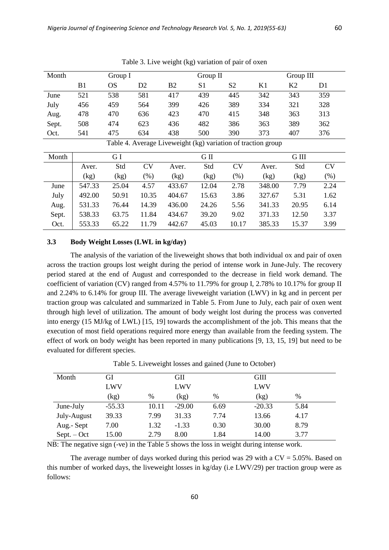| Month |                                                              |     | Group I        |     |     | Group $II$ |     |     | Group III |  |
|-------|--------------------------------------------------------------|-----|----------------|-----|-----|------------|-----|-----|-----------|--|
|       | B <sub>1</sub>                                               | OS  | D <sub>2</sub> | B2  | S1  | S2         | K1  | K2  | D1        |  |
| June  | 521                                                          | 538 | 581            | 417 | 439 | 445        | 342 | 343 | 359       |  |
| July  | 456                                                          | 459 | 564            | 399 | 426 | 389        | 334 | 321 | 328       |  |
| Aug.  | 478                                                          | 470 | 636            | 423 | 470 | 415        | 348 | 363 | 313       |  |
| Sept. | 508                                                          | 474 | 623            | 436 | 482 | 386        | 363 | 389 | 362       |  |
| Oct.  | 541                                                          | 475 | 634            | 438 | 500 | 390        | 373 | 407 | 376       |  |
|       | Table 4. Average Liveweight (kg) variation of traction group |     |                |     |     |            |     |     |           |  |

Table 3. Live weight (kg) variation of pair of oxen

|       | Tuble 1.11 change Enverted in the valuation of themselves |       |           |        |       |           |        |       |           |
|-------|-----------------------------------------------------------|-------|-----------|--------|-------|-----------|--------|-------|-----------|
| Month |                                                           | G I   |           |        | G II  |           |        | G III |           |
|       | Aver.                                                     | Std   | <b>CV</b> | Aver.  | Std   | <b>CV</b> | Aver.  | Std   | <b>CV</b> |
|       | (kg)                                                      | (kg)  | (%)       | (kg)   | (kg)  | (% )      | (kg)   | (kg)  | $(\%)$    |
| June  | 547.33                                                    | 25.04 | 4.57      | 433.67 | 12.04 | 2.78      | 348.00 | 7.79  | 2.24      |
| July  | 492.00                                                    | 50.91 | 10.35     | 404.67 | 15.63 | 3.86      | 327.67 | 5.31  | 1.62      |
| Aug.  | 531.33                                                    | 76.44 | 14.39     | 436.00 | 24.26 | 5.56      | 341.33 | 20.95 | 6.14      |
| Sept. | 538.33                                                    | 63.75 | 11.84     | 434.67 | 39.20 | 9.02      | 371.33 | 12.50 | 3.37      |
| Oct.  | 553.33                                                    | 65.22 | 11.79     | 442.67 | 45.03 | 10.17     | 385.33 | 15.37 | 3.99      |

#### **3.3 Body Weight Losses (LWL in kg/day)**

The analysis of the variation of the liveweight shows that both individual ox and pair of oxen across the traction groups lost weight during the period of intense work in June-July. The recovery period stared at the end of August and corresponded to the decrease in field work demand. The coefficient of variation (CV) ranged from 4.57% to 11.79% for group I, 2.78% to 10.17% for group II and 2.24% to 6.14% for group III. The average liveweight variation (LWV) in kg and in percent per traction group was calculated and summarized in Table 5. From June to July, each pair of oxen went through high level of utilization. The amount of body weight lost during the process was converted into energy (15 MJ/kg of LWL) [15, 19] towards the accomplishment of the job. This means that the execution of most field operations required more energy than available from the feeding system. The effect of work on body weight has been reported in many publications [9, 13, 15, 19] but need to be evaluated for different species.

| Month         | GI       |       | GП       |      | <b>GIII</b> |      |
|---------------|----------|-------|----------|------|-------------|------|
|               | LWV      |       | LWV      |      | LWV         |      |
|               | (kg)     | %     | (kg)     | $\%$ | (kg)        | $\%$ |
| June-July     | $-55.33$ | 10.11 | $-29.00$ | 6.69 | $-20.33$    | 5.84 |
| July-August   | 39.33    | 7.99  | 31.33    | 7.74 | 13.66       | 4.17 |
| Aug.- Sept    | 7.00     | 1.32  | $-1.33$  | 0.30 | 30.00       | 8.79 |
| $Sept. - Oct$ | 15.00    | 2.79  | 8.00     | 1.84 | 14.00       | 3.77 |

Table 5. Liveweight losses and gained (June to October)

NB: The negative sign (-ve) in the Table 5 shows the loss in weight during intense work.

The average number of days worked during this period was 29 with a  $CV = 5.05\%$ . Based on this number of worked days, the liveweight losses in kg/day (i.e LWV/29) per traction group were as follows: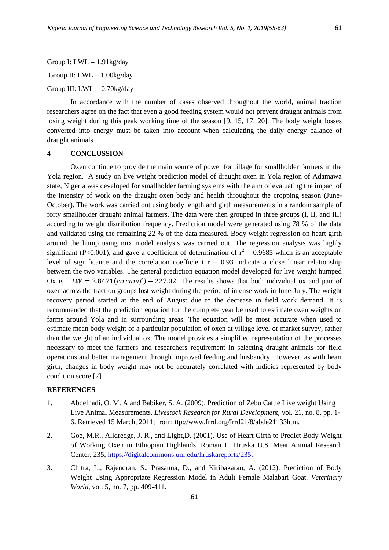Group I:  $LWL = 1.91kg/day$ Group II:  $LWL = 1.00kg/day$ 

Group III:  $LWL = 0.70$ kg/day

In accordance with the number of cases observed throughout the world, animal traction researchers agree on the fact that even a good feeding system would not prevent draught animals from losing weight during this peak working time of the season [9, 15, 17, 20]. The body weight losses converted into energy must be taken into account when calculating the daily energy balance of draught animals.

#### **4 CONCLUSSION**

Oxen continue to provide the main source of power for tillage for smallholder farmers in the Yola region. A study on live weight prediction model of draught oxen in Yola region of Adamawa state, Nigeria was developed for smallholder farming systems with the aim of evaluating the impact of the intensity of work on the draught oxen body and health throughout the cropping season (June-October). The work was carried out using body length and girth measurements in a random sample of forty smallholder draught animal farmers. The data were then grouped in three groups (I, II, and III) according to weight distribution frequency. Prediction model were generated using 78 % of the data and validated using the remaining 22 % of the data measured. Body weight regression on heart girth around the hump using mix model analysis was carried out. The regression analysis was highly significant (P<0.001), and gave a coefficient of determination of  $r^2 = 0.9685$  which is an acceptable level of significance and the correlation coefficient  $r = 0.93$  indicate a close linear relationship between the two variables. The general prediction equation model developed for live weight humped Ox is  $LW = 2.8471(circumf) - 227.02$ . The results shows that both individual ox and pair of oxen across the traction groups lost weight during the period of intense work in June-July. The weight recovery period started at the end of August due to the decrease in field work demand. It is recommended that the prediction equation for the complete year be used to estimate oxen weights on farms around Yola and in surrounding areas. The equation will be most accurate when used to estimate mean body weight of a particular population of oxen at village level or market survey, rather than the weight of an individual ox. The model provides a simplified representation of the processes necessary to meet the farmers and researchers requirement in selecting draught animals for field operations and better management through improved feeding and husbandry. However, as with heart girth, changes in body weight may not be accurately correlated with indicies represented by body condition score [2].

### **REFERENCES**

- 1. Abdelhadi, O. M. A and Babiker, S. A. (2009). Prediction of Zebu Cattle Live weight Using Live Animal Measurements. *Livestock Research for Rural Development,* vol. 21, no. 8, pp. 1- 6. Retrieved 15 March, 2011; from: ttp://www.Irrd.org/Irrd21/8/abde21133htm.
- 2. Goe, M.R., Alldredge, J. R., and Light,D. (2001). Use of Heart Girth to Predict Body Weight of Working Oxen in Ethiopian Highlands. Roman L. Hruska U.S. Meat Animal Research Center, 235; [https://digitalcommons.unl.edu/hruskareports/235.](https://digitalcommons.unl.edu/hruskareports/235)
- 3. Chitra, L., Rajendran, S., Prasanna, D., and Kiribakaran, A. (2012). Prediction of Body Weight Using Appropriate Regression Model in Adult Female Malabari Goat. *Veterinary World,* vol. 5, no. 7, pp. 409-411.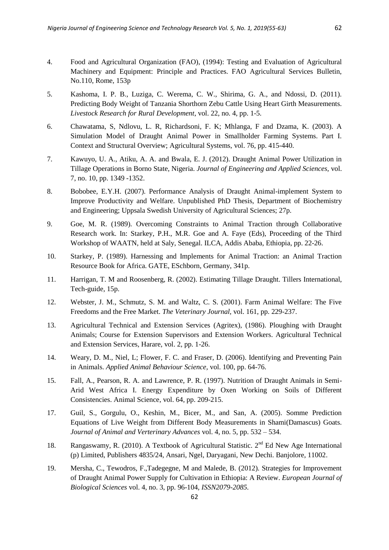- 4. Food and Agricultural Organization (FAO), (1994): Testing and Evaluation of Agricultural Machinery and Equipment: Principle and Practices. FAO Agricultural Services Bulletin, No.110, Rome, 153p
- 5. Kashoma, I. P. B., Luziga, C. Werema, C. W., Shirima, G. A., and Ndossi, D. (2011). Predicting Body Weight of Tanzania Shorthorn Zebu Cattle Using Heart Girth Measurements. *Livestock Research for Rural Development*, vol. 22, no. 4, pp. 1-5.
- 6. Chawatama, S, Ndlovu, L. R, Richardsoni, F. K; Mhlanga, F and Dzama, K. (2003). A Simulation Model of Draught Animal Power in Smallholder Farming Systems. Part I. Context and Structural Overview; Agricultural Systems, vol. 76, pp. 415-440.
- 7. Kawuyo, U. A., Atiku, A. A. and Bwala, E. J. (2012). Draught Animal Power Utilization in Tillage Operations in Borno State, Nigeria. *Journal of Engineering and Applied Sciences,* vol. 7, no. 10, pp. 1349 -1352.
- 8. Bobobee, E.Y.H. (2007). Performance Analysis of Draught Animal-implement System to Improve Productivity and Welfare. Unpublished PhD Thesis, Department of Biochemistry and Engineering; Uppsala Swedish University of Agricultural Sciences; 27p.
- 9. Goe, M. R. (1989). Overcoming Constraints to Animal Traction through Collaborative Research work. In: Starkey, P.H., M.R. Goe and A. Faye (Eds), Proceeding of the Third Workshop of WAATN, held at Saly, Senegal. ILCA, Addis Ababa, Ethiopia, pp. 22-26.
- 10. Starkey, P. (1989). Harnessing and Implements for Animal Traction: an Animal Traction Resource Book for Africa. GATE, ESchborn, Germany, 341p.
- 11. Harrigan, T. M and Roosenberg, R. (2002). Estimating Tillage Draught. Tillers International, Tech-guide, 15p.
- 12. Webster, J. M., Schmutz, S. M. and Waltz, C. S. (2001). Farm Animal Welfare: The Five Freedoms and the Free Market. *The Veterinary Journal,* vol. 161, pp. 229-237.
- 13. Agricultural Technical and Extension Services (Agritex), (1986). Ploughing with Draught Animals; Course for Extension Supervisors and Extension Workers. Agricultural Technical and Extension Services, Harare, vol. 2, pp. 1-26.
- 14. Weary, D. M., Niel, L; Flower, F. C. and Fraser, D. (2006). Identifying and Preventing Pain in Animals. *Applied Animal Behaviour Science,* vol. 100, pp. 64-76.
- 15. Fall, A., Pearson, R. A. and Lawrence, P. R. (1997). Nutrition of Draught Animals in Semi-Arid West Africa I. Energy Expenditure by Oxen Working on Soils of Different Consistencies. Animal Science, vol. 64, pp. 209-215.
- 17. Guil, S., Gorgulu, O., Keshin, M., Bicer, M., and San, A. (2005). Somme Prediction Equations of Live Weight from Different Body Measurements in Shami(Damascus) Goats. *Journal of Animal and Verterinary Advances* vol. 4, no. 5, pp. 532 – 534.
- 18. Rangaswamy, R. (2010). A Textbook of Agricultural Statistic.  $2^{nd}$  Ed New Age International (p) Limited, Publishers 4835/24, Ansari, Ngel, Daryagani, New Dechi. Banjolore, 11002.
- 19. Mersha, C., Tewodros, F.,Tadegegne, M and Malede, B. (2012). Strategies for Improvement of Draught Animal Power Supply for Cultivation in Ethiopia: A Review. *European Journal of Biological Sciences* vol. 4, no. 3, pp. 96-104*, ISSN2079-2085.*